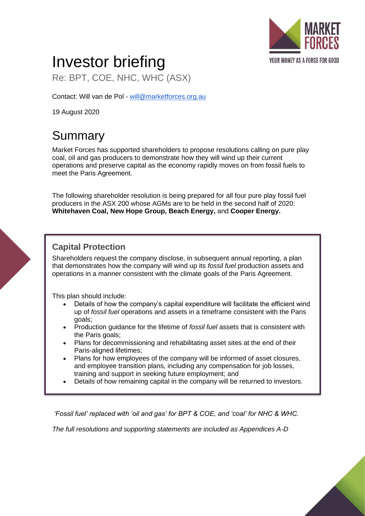

# Investor briefing

Re: BPT, COE, NHC, WHC (ASX)

Contact: Will van de Pol - [will@marketforces.org.au](mailto:will@marketforces.org.au)

19 August 2020

# Summary

Market Forces has supported shareholders to propose resolutions calling on pure play coal, oil and gas producers to demonstrate how they will wind up their current operations and preserve capital as the economy rapidly moves on from fossil fuels to meet the Paris Agreement.

The following shareholder resolution is being prepared for all four pure play fossil fuel producers in the ASX 200 whose AGMs are to be held in the second half of 2020: **Whitehaven Coal, New Hope Group, Beach Energy,** and **Cooper Energy.**

## **Capital Protection**

Shareholders request the company disclose, in subsequent annual reporting, a plan that demonstrates how the company will wind up its *fossil fuel* production assets and operations in a manner consistent with the climate goals of the Paris Agreement.

This plan should include:

- Details of how the company's capital expenditure will facilitate the efficient wind up of *fossil fuel* operations and assets in a timeframe consistent with the Paris goals;
- Production guidance for the lifetime of *fossil fuel* assets that is consistent with the Paris goals;
- Plans for decommissioning and rehabilitating asset sites at the end of their Paris-aligned lifetimes;
- Plans for how employees of the company will be informed of asset closures, and employee transition plans, including any compensation for job losses, training and support in seeking future employment; and
- Details of how remaining capital in the company will be returned to investors.

*'Fossil fuel' replaced with 'oil and gas' for BPT & COE, and 'coal' for NHC & WHC.*

*The full resolutions and supporting statements are included as Appendices A-D*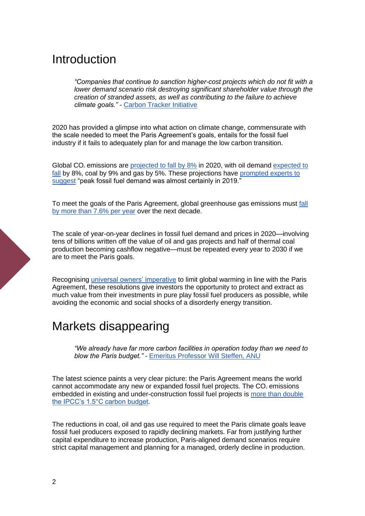## Introduction

*"Companies that continue to sanction higher-cost projects which do not fit with a lower demand scenario risk destroying significant shareholder value through the creation of stranded assets, as well as contributing to the failure to achieve climate goals."* - [Carbon Tracker Initiative](https://carbontracker.org/reports/balancing-the-budget/)

2020 has provided a glimpse into what action on climate change, commensurate with the scale needed to meet the Paris Agreement's goals, entails for the fossil fuel industry if it fails to adequately plan for and manage the low carbon transition.

Global CO<sub>2</sub> emissions are [projected to fall by 8%](https://www.carbonbrief.org/iea-coronavirus-impact-on-co2-emissions-six-times-larger-than-financial-crisis) in 2020, with oil demand expected to [fall](https://www.iea.org/reports/global-energy-review-2020) by 8%, coal by 9% and gas by 5%. These projections have [prompted experts to](https://carbontracker.org/was-2019-the-peak-of-the-fossil-fuel-era/?fbclid=IwAR1umB-14zUvUQmrCxKuHpKaDV3dB9hRVGygMukgLjnX1364TYqkhY1Q33c)  [suggest](https://carbontracker.org/was-2019-the-peak-of-the-fossil-fuel-era/?fbclid=IwAR1umB-14zUvUQmrCxKuHpKaDV3dB9hRVGygMukgLjnX1364TYqkhY1Q33c) "peak fossil fuel demand was almost certainly in 2019."

To meet the goals of the Paris Agreement, global greenhouse gas emissions must [fall](https://www.unenvironment.org/news-and-stories/press-release/cut-global-emissions-76-percent-every-year-next-decade-meet-15degc)  [by more than 7.6% per year](https://www.unenvironment.org/news-and-stories/press-release/cut-global-emissions-76-percent-every-year-next-decade-meet-15degc) over the next decade.

The scale of year-on-year declines in fossil fuel demand and prices in 2020—involving tens of billions written off the value of oil and gas projects and half of thermal coal production becoming cashflow negative—must be repeated every year to 2030 if we are to meet the Paris goals.

Recognising [universal owners' imperative](https://www.mercer.com.au/what-we-do/campaigns/investing-in-a-time-of-climate-change.html) to limit global warming in line with the Paris Agreement, these resolutions give investors the opportunity to protect and extract as much value from their investments in pure play fossil fuel producers as possible, while avoiding the economic and social shocks of a disorderly energy transition.

## Markets disappearing

*"We already have far more carbon facilities in operation today than we need to blow the Paris budget."* - [Emeritus Professor Will Steffen, ANU](https://youtu.be/wDYHW-AyeNQ?t=362)

The latest science paints a very clear picture: the Paris Agreement means the world cannot accommodate any new or expanded fossil fuel projects. The  $CO<sub>2</sub>$  emissions embedded in existing and under-construction fossil fuel projects is [more than double](http://priceofoil.org/2018/10/17/the-skys-limit-ipcc-report-15-degrees-of-warming/)  [the IPCC's 1.5°C carbon budget.](http://priceofoil.org/2018/10/17/the-skys-limit-ipcc-report-15-degrees-of-warming/)

The reductions in coal, oil and gas use required to meet the Paris climate goals leave fossil fuel producers exposed to rapidly declining markets. Far from justifying further capital expenditure to increase production, Paris-aligned demand scenarios require strict capital management and planning for a managed, orderly decline in production.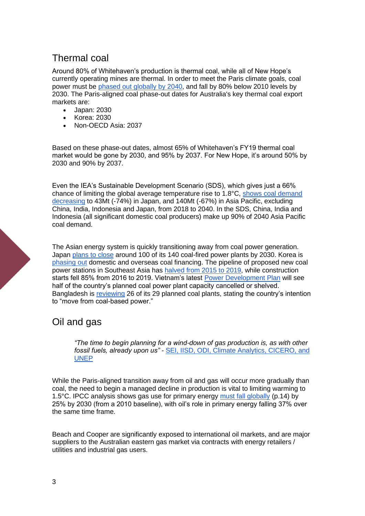## Thermal coal

Around 80% of Whitehaven's production is thermal coal, while all of New Hope's currently operating mines are thermal. In order to meet the Paris climate goals, coal power must be phased [out globally by 2040,](https://climateanalytics.org/briefings/coal-phase-out/) and fall by 80% below 2010 levels by 2030. The Paris-aligned coal phase-out dates for Australia's key thermal coal export markets are:

- Japan: 2030
- Korea: 2030
- Non-OECD Asia: 2037

Based on these phase-out dates, almost 65% of Whitehaven's FY19 thermal coal market would be gone by 2030, and 95% by 2037. For New Hope, it's around 50% by 2030 and 90% by 2037.

Even the IEA's Sustainable Development Scenario (SDS), which gives just a 66% chance of limiting the global average temperature rise to 1.8°C, [shows coal demand](https://www.iea.org/reports/world-energy-outlook-2019)  [decreasing](https://www.iea.org/reports/world-energy-outlook-2019) to 43Mt (-74%) in Japan, and 140Mt (-67%) in Asia Pacific, excluding China, India, Indonesia and Japan, from 2018 to 2040. In the SDS, China, India and Indonesia (all significant domestic coal producers) make up 90% of 2040 Asia Pacific coal demand.

The Asian energy system is quickly transitioning away from coal power generation. Japan [plans to close](https://www.reuters.com/article/us-japan-powerstation-coal/japan-to-shut-or-mothball-100-ageing-coal-fired-power-plants-yomiuri-idUSKBN243074) around 100 of its 140 coal-fired power plants by 2030. Korea is [phasing out](https://www.climatechangenews.com/2020/04/16/south-korea-implement-green-new-deal-ruling-party-election-win/) domestic and overseas coal financing. The pipeline of proposed new coal power stations in Southeast Asia has [halved from 2015 to 2019,](https://endcoal.org/wp-content/uploads/2020/03/BoomAndBust_2020_English.pdf) while construction starts fell 85% from 2016 to 2019. Vietnam's latest [Power Development Plan](https://www.eco-business.com/news/vietnam-considers-scrapping-half-of-coal-power-plant-pipeline-in-favour-of-gas-and-renewables/) will see half of the country's planned coal power plant capacity cancelled or shelved. Bangladesh is [reviewing](https://chinadialogue.net/en/energy/bangladesh-may-ditch-planned-coal-power/) 26 of its 29 planned coal plants, stating the country's intention to "move from coal-based power."

## Oil and gas

*"The time to begin planning for a wind-down of gas production is, as with other fossil fuels, already upon us"* - [SEI, IISD, ODI, Climate Analytics, CICERO, and](http://productiongap.org/wp-content/uploads/2019/11/Production-Gap-Report-2019.pdf)  [UNEP](http://productiongap.org/wp-content/uploads/2019/11/Production-Gap-Report-2019.pdf)

While the Paris-aligned transition away from oil and gas will occur more gradually than coal, the need to begin a managed decline in production is vital to limiting warming to 1.5°C. IPCC analysis shows gas use for primary energy [must fall globally](https://www.ipcc.ch/site/assets/uploads/sites/2/2019/05/SR15_SPM_version_report_LR.pdf) (p.14) by 25% by 2030 (from a 2010 baseline), with oil's role in primary energy falling 37% over the same time frame.

Beach and Cooper are significantly exposed to international oil markets, and are major suppliers to the Australian eastern gas market via contracts with energy retailers / utilities and industrial gas users.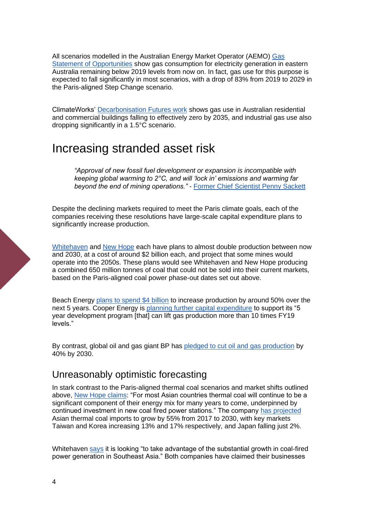All scenarios modelled in the Australian Energy Market Operator (AEMO) [Gas](https://aemo.com.au/-/media/files/gas/national_planning_and_forecasting/gsoo/2020/2020-gas-statement-of-opportunities.pdf)  [Statement of Opportunities](https://aemo.com.au/-/media/files/gas/national_planning_and_forecasting/gsoo/2020/2020-gas-statement-of-opportunities.pdf) show gas consumption for electricity generation in eastern Australia remaining below 2019 levels from now on. In fact, gas use for this purpose is expected to fall significantly in most scenarios, with a drop of 83% from 2019 to 2029 in the Paris-aligned Step Change scenario.

ClimateWorks' [Decarbonisation Futures work](https://www.climateworksaustralia.org/resource/decarbonisation-futures-solutions-actions-and-benchmarks-for-a-net-zero-emissions-australia/) shows gas use in Australian residential and commercial buildings falling to effectively zero by 2035, and industrial gas use also dropping significantly in a 1.5°C scenario.

## Increasing stranded asset risk

*"Approval of new fossil fuel development or expansion is incompatible with keeping global warming to 2°C, and will 'lock in' emissions and warming far beyond the end of mining operations."* - [Former Chief Scientist Penny Sackett](https://www.smh.com.au/environment/climate-change/narrabri-gas-project-should-be-blocked-says-ex-chief-scientist-20200809-p55k20.html)

Despite the declining markets required to meet the Paris climate goals, each of the companies receiving these resolutions have large-scale capital expenditure plans to significantly increase production.

[Whitehaven](https://whitehavencoal.com.au/wp-content/uploads/2019/12/Whitehaven-Coal-Annual-Report-2019.pdf) and [New Hope](https://www.newhopegroup.com.au/content/projects/operations/coal) each have plans to almost double production between now and 2030, at a cost of around \$2 billion each, and project that some mines would operate into the 2050s. These plans would see Whitehaven and New Hope producing a combined 650 million tonnes of coal that could not be sold into their current markets, based on the Paris-aligned coal power phase-out dates set out above.

Beach Energy [plans to spend \\$4 billion](https://www.asx.com.au/asxpdf/20200817/pdf/44lkcfsh7kxdqb.pdf) to increase production by around 50% over the next 5 years. Cooper Energy is [planning further capital expenditure](https://www.asx.com.au/asxpdf/20190812/pdf/447d7x2x48g6fd.pdf) to support its "5 year development program [that] can lift gas production more than 10 times FY19 levels."

By contrast, global oil and gas giant BP has [pledged to cut oil and gas production](https://www.bp.com/en/global/corporate/news-and-insights/press-releases/from-international-oil-company-to-integrated-energy-company-bp-sets-out-strategy-for-decade-of-delivery-towards-net-zero-ambition.html) by 40% by 2030.

## Unreasonably optimistic forecasting

In stark contrast to the Paris-aligned thermal coal scenarios and market shifts outlined above, [New Hope claims:](https://www.newhopegroup.com.au/files/files/Annual%20Report%202019.pdf) "For most Asian countries thermal coal will continue to be a significant component of their energy mix for many years to come, underpinned by continued investment in new coal fired power stations." The company [has projected](https://www.newhopegroup.com.au/files/files/20180918%20FY2018%20NHCL%20ASX%20Financial%20Results%20Presentation(1).pdf) Asian thermal coal imports to grow by 55% from 2017 to 2030, with key markets Taiwan and Korea increasing 13% and 17% respectively, and Japan falling just 2%.

Whitehaven [says](https://whitehavencoal.com.au/wp-content/uploads/2019/09/Whitehaven-Coal-Annual-Financial-Report-2019.pdf) it is looking "to take advantage of the substantial growth in coal-fired power generation in Southeast Asia." Both companies have claimed their businesses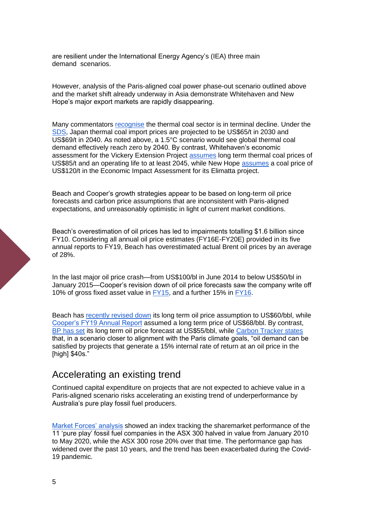are resilient under the International Energy Agency's (IEA) three main demand scenarios.

However, analysis of the Paris-aligned coal power phase-out scenario outlined above and the market shift already underway in Asia demonstrate Whitehaven and New Hope's major export markets are rapidly disappearing.

Many commentators [recognise](https://ieefa.org/ieefa-update-capital-flight-from-thermal-coal-is-accelerating/) the thermal coal sector is in terminal decline. Under the [SDS,](https://www.iea.org/reports/world-energy-outlook-2019) Japan thermal coal import prices are projected to be US\$65/t in 2030 and US\$69/t in 2040. As noted above, a 1.5°C scenario would see global thermal coal demand effectively reach zero by 2040. By contrast, Whitehaven's economic assessment for the Vickery Extension Project [assumes](https://majorprojects.planningportal.nsw.gov.au/prweb/PRRestService/mp/01/getContent?AttachRef=SSD-7480%2120190303T213440.399%20GMT) long term thermal coal prices of US\$85/t and an operating life to at least 2045, while New Hope [assumes](https://www.newhopegroup.com.au/files/files/projects/elimatta/2014/appendix/09%20Appendix%20I%20Economic%20Impact%20Assessment.pdf) a coal price of US\$120/t in the Economic Impact Assessment for its Elimatta project.

Beach and Cooper's growth strategies appear to be based on long-term oil price forecasts and carbon price assumptions that are inconsistent with Paris-aligned expectations, and unreasonably optimistic in light of current market conditions.

Beach's overestimation of oil prices has led to impairments totalling \$1.6 billion since FY10. Considering all annual oil price estimates (FY16E-FY20E) provided in its five annual reports to FY19, Beach has overestimated actual Brent oil prices by an average of 28%.

In the last major oil price crash—from US\$100/bl in June 2014 to below US\$50/bl in January 2015—Cooper's revision down of oil price forecasts saw the company write off 10% of gross fixed asset value in [FY15,](https://www.cooperenergy.com.au/Upload/Documents/ReportsItem/Cooper-Energy-2015-Annual-Report.pdf) and a further 15% in [FY16.](https://www.cooperenergy.com.au/Upload/Documents/ReportsItem/2016.10.11-2016-Annual-Report.pdf)

Beach has [recently revised down](https://www.asx.com.au/asxpdf/20200817/pdf/44lkbmt4xscxhf.pdf) its long term oil price assumption to US\$60/bbl, while [Cooper's FY19 Annual Report](https://www.cooperenergy.com.au/Upload/Documents/ReportsItem/2016.10.11-2016-Annual-Report.pdf) assumed a long term price of US\$68/bbl. By contrast, [BP has set](https://www.bp.com/en/global/corporate/news-and-insights/press-releases/bp-revises-long-term-price-assumptions.html) its long term oil price forecast at US\$55/bbl, while [Carbon Tracker states](https://carbontracker.org/reports/the-impair-state/) that, in a scenario closer to alignment with the Paris climate goals, "oil demand can be satisfied by projects that generate a 15% internal rate of return at an oil price in the [high] \$40s."

## Accelerating an existing trend

Continued capital expenditure on projects that are not expected to achieve value in a Paris-aligned scenario risks accelerating an existing trend of underperformance by Australia's pure play fossil fuel producers.

[Market Forces' analysis](https://www.marketforces.org.au/downwithfossilfuels/) showed an index tracking the sharemarket performance of the 11 'pure play' fossil fuel companies in the ASX 300 halved in value from January 2010 to May 2020, while the ASX 300 rose 20% over that time. The performance gap has widened over the past 10 years, and the trend has been exacerbated during the Covid-19 pandemic.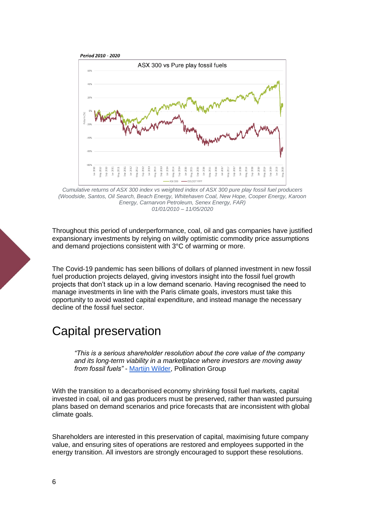

*Cumulative returns of ASX 300 index vs weighted index of ASX 300 pure play fossil fuel producers (Woodside, Santos, Oil Search, Beach Energy, Whitehaven Coal, New Hope, Cooper Energy, Karoon Energy, Carnarvon Petroleum, Senex Energy, FAR) 01/01/2010 – 11/05/2020*

Throughout this period of underperformance, coal, oil and gas companies have justified expansionary investments by relying on wildly optimistic commodity price assumptions and demand projections consistent with 3°C of warming or more.

The Covid-19 pandemic has seen billions of dollars of planned investment in new fossil fuel production projects delayed, giving investors insight into the fossil fuel growth projects that don't stack up in a low demand scenario. Having recognised the need to manage investments in line with the Paris climate goals, investors must take this opportunity to avoid wasted capital expenditure, and instead manage the necessary decline of the fossil fuel sector.

## Capital preservation

*"This is a serious shareholder resolution about the core value of the company and its long-term viability in a marketplace where investors are moving away from fossil fuels"* - [Martijn Wilder,](https://www.abc.net.au/news/2020-08-13/shareholder-fossil-fuel-resolution-whitehaven-coal/12546830) Pollination Group

With the transition to a decarbonised economy shrinking fossil fuel markets, capital invested in coal, oil and gas producers must be preserved, rather than wasted pursuing plans based on demand scenarios and price forecasts that are inconsistent with global climate goals.

Shareholders are interested in this preservation of capital, maximising future company value, and ensuring sites of operations are restored and employees supported in the energy transition. All investors are strongly encouraged to support these resolutions.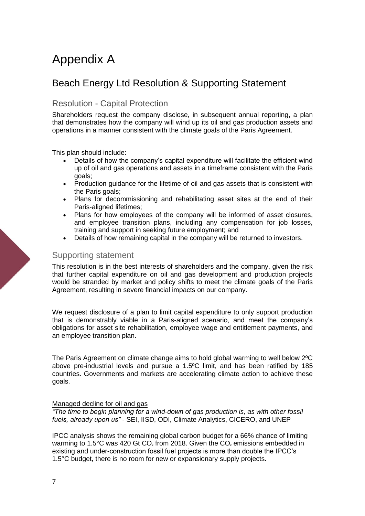# Appendix A

## Beach Energy Ltd Resolution & Supporting Statement

### Resolution - Capital Protection

Shareholders request the company disclose, in subsequent annual reporting, a plan that demonstrates how the company will wind up its oil and gas production assets and operations in a manner consistent with the climate goals of the Paris Agreement.

This plan should include:

- Details of how the company's capital expenditure will facilitate the efficient wind up of oil and gas operations and assets in a timeframe consistent with the Paris goals;
- Production guidance for the lifetime of oil and gas assets that is consistent with the Paris goals:
- Plans for decommissioning and rehabilitating asset sites at the end of their Paris-aligned lifetimes;
- Plans for how employees of the company will be informed of asset closures, and employee transition plans, including any compensation for job losses, training and support in seeking future employment; and
- Details of how remaining capital in the company will be returned to investors.

#### Supporting statement

This resolution is in the best interests of shareholders and the company, given the risk that further capital expenditure on oil and gas development and production projects would be stranded by market and policy shifts to meet the climate goals of the Paris Agreement, resulting in severe financial impacts on our company.

We request disclosure of a plan to limit capital expenditure to only support production that is demonstrably viable in a Paris-aligned scenario, and meet the company's obligations for asset site rehabilitation, employee wage and entitlement payments, and an employee transition plan.

The Paris Agreement on climate change aims to hold global warming to well below 2ºC above pre-industrial levels and pursue a 1.5ºC limit, and has been ratified by 185 countries. Governments and markets are accelerating climate action to achieve these goals.

#### Managed decline for oil and gas

*"The time to begin planning for a wind-down of gas production is, as with other fossil fuels, already upon us"* - SEI, IISD, ODI, Climate Analytics, CICERO, and UNEP

IPCC analysis shows the remaining global carbon budget for a 66% chance of limiting warming to 1.5°C was 420 Gt CO, from 2018. Given the CO, emissions embedded in existing and under-construction fossil fuel projects is more than double the IPCC's 1.5°C budget, there is no room for new or expansionary supply projects.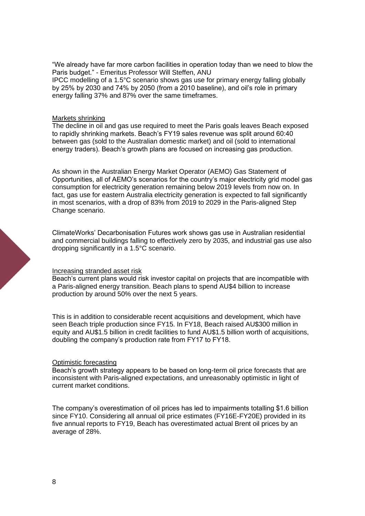"We already have far more carbon facilities in operation today than we need to blow the Paris budget." - Emeritus Professor Will Steffen, ANU IPCC modelling of a 1.5°C scenario shows gas use for primary energy falling globally by 25% by 2030 and 74% by 2050 (from a 2010 baseline), and oil's role in primary energy falling 37% and 87% over the same timeframes.

#### Markets shrinking

The decline in oil and gas use required to meet the Paris goals leaves Beach exposed to rapidly shrinking markets. Beach's FY19 sales revenue was split around 60:40 between gas (sold to the Australian domestic market) and oil (sold to international energy traders). Beach's growth plans are focused on increasing gas production.

As shown in the Australian Energy Market Operator (AEMO) Gas Statement of Opportunities, all of AEMO's scenarios for the country's major electricity grid model gas consumption for electricity generation remaining below 2019 levels from now on. In fact, gas use for eastern Australia electricity generation is expected to fall significantly in most scenarios, with a drop of 83% from 2019 to 2029 in the Paris-aligned Step Change scenario.

ClimateWorks' Decarbonisation Futures work shows gas use in Australian residential and commercial buildings falling to effectively zero by 2035, and industrial gas use also dropping significantly in a 1.5°C scenario.

#### Increasing stranded asset risk

Beach's current plans would risk investor capital on projects that are incompatible with a Paris-aligned energy transition. Beach plans to spend AU\$4 billion to increase production by around 50% over the next 5 years.

This is in addition to considerable recent acquisitions and development, which have seen Beach triple production since FY15. In FY18, Beach raised AU\$300 million in equity and AU\$1.5 billion in credit facilities to fund AU\$1.5 billion worth of acquisitions, doubling the company's production rate from FY17 to FY18.

#### Optimistic forecasting

Beach's growth strategy appears to be based on long-term oil price forecasts that are inconsistent with Paris-aligned expectations, and unreasonably optimistic in light of current market conditions.

The company's overestimation of oil prices has led to impairments totalling \$1.6 billion since FY10. Considering all annual oil price estimates (FY16E-FY20E) provided in its five annual reports to FY19, Beach has overestimated actual Brent oil prices by an average of 28%.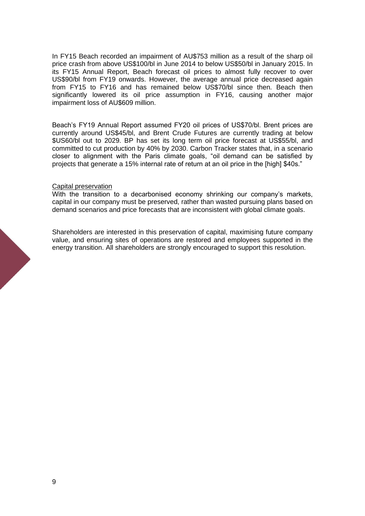In FY15 Beach recorded an impairment of AU\$753 million as a result of the sharp oil price crash from above US\$100/bl in June 2014 to below US\$50/bl in January 2015. In its FY15 Annual Report, Beach forecast oil prices to almost fully recover to over US\$90/bl from FY19 onwards. However, the average annual price decreased again from FY15 to FY16 and has remained below US\$70/bl since then. Beach then significantly lowered its oil price assumption in FY16, causing another major impairment loss of AU\$609 million.

Beach's FY19 Annual Report assumed FY20 oil prices of US\$70/bl. Brent prices are currently around US\$45/bl, and Brent Crude Futures are currently trading at below \$US60/bl out to 2029. BP has set its long term oil price forecast at US\$55/bl, and committed to cut production by 40% by 2030. Carbon Tracker states that, in a scenario closer to alignment with the Paris climate goals, "oil demand can be satisfied by projects that generate a 15% internal rate of return at an oil price in the [high] \$40s."

#### Capital preservation

With the transition to a decarbonised economy shrinking our company's markets, capital in our company must be preserved, rather than wasted pursuing plans based on demand scenarios and price forecasts that are inconsistent with global climate goals.

Shareholders are interested in this preservation of capital, maximising future company value, and ensuring sites of operations are restored and employees supported in the energy transition. All shareholders are strongly encouraged to support this resolution.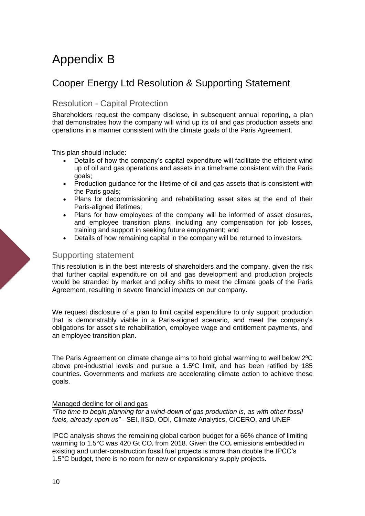# Appendix B

## Cooper Energy Ltd Resolution & Supporting Statement

### Resolution - Capital Protection

Shareholders request the company disclose, in subsequent annual reporting, a plan that demonstrates how the company will wind up its oil and gas production assets and operations in a manner consistent with the climate goals of the Paris Agreement.

This plan should include:

- Details of how the company's capital expenditure will facilitate the efficient wind up of oil and gas operations and assets in a timeframe consistent with the Paris goals;
- Production guidance for the lifetime of oil and gas assets that is consistent with the Paris goals:
- Plans for decommissioning and rehabilitating asset sites at the end of their Paris-aligned lifetimes;
- Plans for how employees of the company will be informed of asset closures, and employee transition plans, including any compensation for job losses, training and support in seeking future employment; and
- Details of how remaining capital in the company will be returned to investors.

#### Supporting statement

This resolution is in the best interests of shareholders and the company, given the risk that further capital expenditure on oil and gas development and production projects would be stranded by market and policy shifts to meet the climate goals of the Paris Agreement, resulting in severe financial impacts on our company.

We request disclosure of a plan to limit capital expenditure to only support production that is demonstrably viable in a Paris-aligned scenario, and meet the company's obligations for asset site rehabilitation, employee wage and entitlement payments, and an employee transition plan.

The Paris Agreement on climate change aims to hold global warming to well below 2ºC above pre-industrial levels and pursue a 1.5ºC limit, and has been ratified by 185 countries. Governments and markets are accelerating climate action to achieve these goals.

#### Managed decline for oil and gas

*"The time to begin planning for a wind-down of gas production is, as with other fossil fuels, already upon us"* - SEI, IISD, ODI, Climate Analytics, CICERO, and UNEP

IPCC analysis shows the remaining global carbon budget for a 66% chance of limiting warming to 1.5°C was 420 Gt CO, from 2018. Given the CO, emissions embedded in existing and under-construction fossil fuel projects is more than double the IPCC's 1.5°C budget, there is no room for new or expansionary supply projects.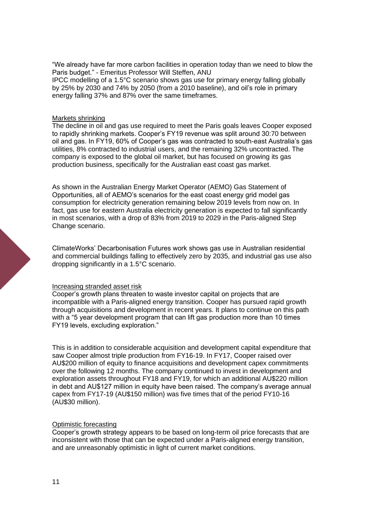"We already have far more carbon facilities in operation today than we need to blow the Paris budget." - Emeritus Professor Will Steffen, ANU IPCC modelling of a 1.5°C scenario shows gas use for primary energy falling globally by 25% by 2030 and 74% by 2050 (from a 2010 baseline), and oil's role in primary energy falling 37% and 87% over the same timeframes.

#### Markets shrinking

The decline in oil and gas use required to meet the Paris goals leaves Cooper exposed to rapidly shrinking markets. Cooper's FY19 revenue was split around 30:70 between oil and gas. In FY19, 60% of Cooper's gas was contracted to south-east Australia's gas utilities, 8% contracted to industrial users, and the remaining 32% uncontracted. The company is exposed to the global oil market, but has focused on growing its gas production business, specifically for the Australian east coast gas market.

As shown in the Australian Energy Market Operator (AEMO) Gas Statement of Opportunities, all of AEMO's scenarios for the east coast energy grid model gas consumption for electricity generation remaining below 2019 levels from now on. In fact, gas use for eastern Australia electricity generation is expected to fall significantly in most scenarios, with a drop of 83% from 2019 to 2029 in the Paris-aligned Step Change scenario.

ClimateWorks' Decarbonisation Futures work shows gas use in Australian residential and commercial buildings falling to effectively zero by 2035, and industrial gas use also dropping significantly in a 1.5°C scenario.

#### Increasing stranded asset risk

Cooper's growth plans threaten to waste investor capital on projects that are incompatible with a Paris-aligned energy transition. Cooper has pursued rapid growth through acquisitions and development in recent years. It plans to continue on this path with a "5 year development program that can lift gas production more than 10 times FY19 levels, excluding exploration."

This is in addition to considerable acquisition and development capital expenditure that saw Cooper almost triple production from FY16-19. In FY17, Cooper raised over AU\$200 million of equity to finance acquisitions and development capex commitments over the following 12 months. The company continued to invest in development and exploration assets throughout FY18 and FY19, for which an additional AU\$220 million in debt and AU\$127 million in equity have been raised. The company's average annual capex from FY17-19 (AU\$150 million) was five times that of the period FY10-16 (AU\$30 million).

#### Optimistic forecasting

Cooper's growth strategy appears to be based on long-term oil price forecasts that are inconsistent with those that can be expected under a Paris-aligned energy transition, and are unreasonably optimistic in light of current market conditions.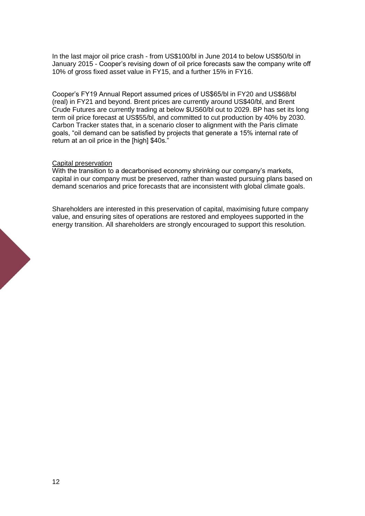In the last major oil price crash - from US\$100/bl in June 2014 to below US\$50/bl in January 2015 - Cooper's revising down of oil price forecasts saw the company write off 10% of gross fixed asset value in FY15, and a further 15% in FY16.

Cooper's FY19 Annual Report assumed prices of US\$65/bl in FY20 and US\$68/bl (real) in FY21 and beyond. Brent prices are currently around US\$40/bl, and Brent Crude Futures are currently trading at below \$US60/bl out to 2029. BP has set its long term oil price forecast at US\$55/bl, and committed to cut production by 40% by 2030. Carbon Tracker states that, in a scenario closer to alignment with the Paris climate goals, "oil demand can be satisfied by projects that generate a 15% internal rate of return at an oil price in the [high] \$40s."

#### Capital preservation

With the transition to a decarbonised economy shrinking our company's markets, capital in our company must be preserved, rather than wasted pursuing plans based on demand scenarios and price forecasts that are inconsistent with global climate goals.

Shareholders are interested in this preservation of capital, maximising future company value, and ensuring sites of operations are restored and employees supported in the energy transition. All shareholders are strongly encouraged to support this resolution.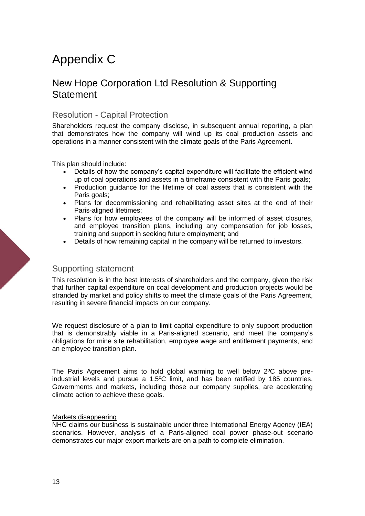# Appendix C

## New Hope Corporation Ltd Resolution & Supporting **Statement**

### Resolution - Capital Protection

Shareholders request the company disclose, in subsequent annual reporting, a plan that demonstrates how the company will wind up its coal production assets and operations in a manner consistent with the climate goals of the Paris Agreement.

This plan should include:

- Details of how the company's capital expenditure will facilitate the efficient wind up of coal operations and assets in a timeframe consistent with the Paris goals;
- Production guidance for the lifetime of coal assets that is consistent with the Paris goals;
- Plans for decommissioning and rehabilitating asset sites at the end of their Paris-aligned lifetimes;
- Plans for how employees of the company will be informed of asset closures, and employee transition plans, including any compensation for job losses, training and support in seeking future employment; and
- Details of how remaining capital in the company will be returned to investors.

#### Supporting statement

This resolution is in the best interests of shareholders and the company, given the risk that further capital expenditure on coal development and production projects would be stranded by market and policy shifts to meet the climate goals of the Paris Agreement, resulting in severe financial impacts on our company.

We request disclosure of a plan to limit capital expenditure to only support production that is demonstrably viable in a Paris-aligned scenario, and meet the company's obligations for mine site rehabilitation, employee wage and entitlement payments, and an employee transition plan.

The Paris Agreement aims to hold global warming to well below 2ºC above preindustrial levels and pursue a 1.5ºC limit, and has been ratified by 185 countries. Governments and markets, including those our company supplies, are accelerating climate action to achieve these goals.

#### Markets disappearing

NHC claims our business is sustainable under three International Energy Agency (IEA) scenarios. However, analysis of a Paris-aligned coal power phase-out scenario demonstrates our major export markets are on a path to complete elimination.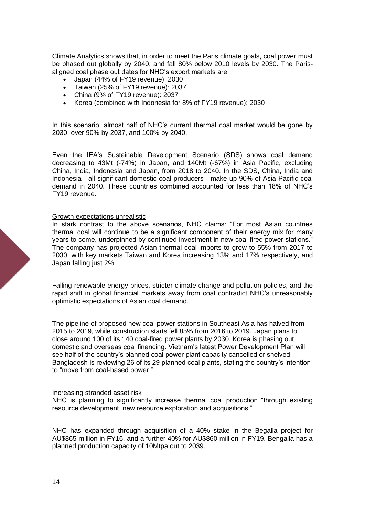Climate Analytics shows that, in order to meet the Paris climate goals, coal power must be phased out globally by 2040, and fall 80% below 2010 levels by 2030. The Parisaligned coal phase out dates for NHC's export markets are:

- Japan (44% of FY19 revenue): 2030
- Taiwan (25% of FY19 revenue): 2037
- China (9% of FY19 revenue): 2037
- Korea (combined with Indonesia for 8% of FY19 revenue): 2030

In this scenario, almost half of NHC's current thermal coal market would be gone by 2030, over 90% by 2037, and 100% by 2040.

Even the IEA's Sustainable Development Scenario (SDS) shows coal demand decreasing to 43Mt (-74%) in Japan, and 140Mt (-67%) in Asia Pacific, excluding China, India, Indonesia and Japan, from 2018 to 2040. In the SDS, China, India and Indonesia - all significant domestic coal producers - make up 90% of Asia Pacific coal demand in 2040. These countries combined accounted for less than 18% of NHC's FY19 revenue.

#### Growth expectations unrealistic

In stark contrast to the above scenarios, NHC claims: "For most Asian countries thermal coal will continue to be a significant component of their energy mix for many years to come, underpinned by continued investment in new coal fired power stations." The company has projected Asian thermal coal imports to grow to 55% from 2017 to 2030, with key markets Taiwan and Korea increasing 13% and 17% respectively, and Japan falling just 2%.

Falling renewable energy prices, stricter climate change and pollution policies, and the rapid shift in global financial markets away from coal contradict NHC's unreasonably optimistic expectations of Asian coal demand.

The pipeline of proposed new coal power stations in Southeast Asia has halved from 2015 to 2019, while construction starts fell 85% from 2016 to 2019. Japan plans to close around 100 of its 140 coal-fired power plants by 2030. Korea is phasing out domestic and overseas coal financing. Vietnam's latest Power Development Plan will see half of the country's planned coal power plant capacity cancelled or shelved. Bangladesh is reviewing 26 of its 29 planned coal plants, stating the country's intention to "move from coal-based power."

#### Increasing stranded asset risk

NHC is planning to significantly increase thermal coal production "through existing resource development, new resource exploration and acquisitions."

NHC has expanded through acquisition of a 40% stake in the Begalla project for AU\$865 million in FY16, and a further 40% for AU\$860 million in FY19. Bengalla has a planned production capacity of 10Mtpa out to 2039.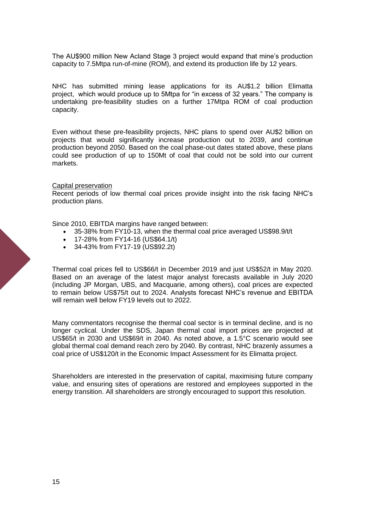The AU\$900 million New Acland Stage 3 project would expand that mine's production capacity to 7.5Mtpa run-of-mine (ROM), and extend its production life by 12 years.

NHC has submitted mining lease applications for its AU\$1.2 billion Elimatta project, which would produce up to 5Mtpa for "in excess of 32 years." The company is undertaking pre-feasibility studies on a further 17Mtpa ROM of coal production capacity.

Even without these pre-feasibility projects, NHC plans to spend over AU\$2 billion on projects that would significantly increase production out to 2039, and continue production beyond 2050. Based on the coal phase-out dates stated above, these plans could see production of up to 150Mt of coal that could not be sold into our current markets.

#### Capital preservation

Recent periods of low thermal coal prices provide insight into the risk facing NHC's production plans.

Since 2010, EBITDA margins have ranged between:

- 35-38% from FY10-13, when the thermal coal price averaged US\$98.9/t/t
- 17-28% from FY14-16 (US\$64.1/t)
- 34-43% from FY17-19 (US\$92.2t)

Thermal coal prices fell to US\$66/t in December 2019 and just US\$52/t in May 2020. Based on an average of the latest major analyst forecasts available in July 2020 (including JP Morgan, UBS, and Macquarie, among others), coal prices are expected to remain below US\$75/t out to 2024. Analysts forecast NHC's revenue and EBITDA will remain well below FY19 levels out to 2022.

Many commentators recognise the thermal coal sector is in terminal decline, and is no longer cyclical. Under the SDS, Japan thermal coal import prices are projected at US\$65/t in 2030 and US\$69/t in 2040. As noted above, a 1.5°C scenario would see global thermal coal demand reach zero by 2040. By contrast, NHC brazenly assumes a coal price of US\$120/t in the Economic Impact Assessment for its Elimatta project.

Shareholders are interested in the preservation of capital, maximising future company value, and ensuring sites of operations are restored and employees supported in the energy transition. All shareholders are strongly encouraged to support this resolution.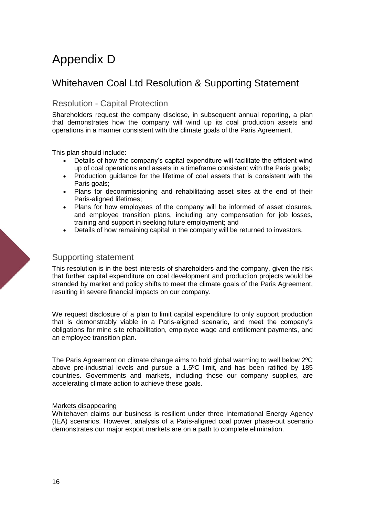# Appendix D

## Whitehaven Coal Ltd Resolution & Supporting Statement

### Resolution - Capital Protection

Shareholders request the company disclose, in subsequent annual reporting, a plan that demonstrates how the company will wind up its coal production assets and operations in a manner consistent with the climate goals of the Paris Agreement.

This plan should include:

- Details of how the company's capital expenditure will facilitate the efficient wind up of coal operations and assets in a timeframe consistent with the Paris goals;
- Production guidance for the lifetime of coal assets that is consistent with the Paris goals;
- Plans for decommissioning and rehabilitating asset sites at the end of their Paris-aligned lifetimes;
- Plans for how employees of the company will be informed of asset closures, and employee transition plans, including any compensation for job losses, training and support in seeking future employment; and
- Details of how remaining capital in the company will be returned to investors.

#### Supporting statement

This resolution is in the best interests of shareholders and the company, given the risk that further capital expenditure on coal development and production projects would be stranded by market and policy shifts to meet the climate goals of the Paris Agreement, resulting in severe financial impacts on our company.

We request disclosure of a plan to limit capital expenditure to only support production that is demonstrably viable in a Paris-aligned scenario, and meet the company's obligations for mine site rehabilitation, employee wage and entitlement payments, and an employee transition plan.

The Paris Agreement on climate change aims to hold global warming to well below 2ºC above pre-industrial levels and pursue a 1.5ºC limit, and has been ratified by 185 countries. Governments and markets, including those our company supplies, are accelerating climate action to achieve these goals.

#### Markets disappearing

Whitehaven claims our business is resilient under three International Energy Agency (IEA) scenarios. However, analysis of a Paris-aligned coal power phase-out scenario demonstrates our major export markets are on a path to complete elimination.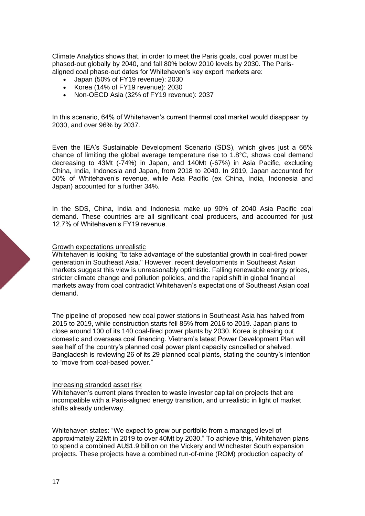Climate Analytics shows that, in order to meet the Paris goals, coal power must be phased-out globally by 2040, and fall 80% below 2010 levels by 2030. The Parisaligned coal phase-out dates for Whitehaven's key export markets are:

- Japan (50% of FY19 revenue): 2030
- Korea (14% of FY19 revenue): 2030
- Non-OECD Asia (32% of FY19 revenue): 2037

In this scenario, 64% of Whitehaven's current thermal coal market would disappear by 2030, and over 96% by 2037.

Even the IEA's Sustainable Development Scenario (SDS), which gives just a 66% chance of limiting the global average temperature rise to 1.8°C, shows coal demand decreasing to 43Mt (-74%) in Japan, and 140Mt (-67%) in Asia Pacific, excluding China, India, Indonesia and Japan, from 2018 to 2040. In 2019, Japan accounted for 50% of Whitehaven's revenue, while Asia Pacific (ex China, India, Indonesia and Japan) accounted for a further 34%.

In the SDS, China, India and Indonesia make up 90% of 2040 Asia Pacific coal demand. These countries are all significant coal producers, and accounted for just 12.7% of Whitehaven's FY19 revenue.

#### Growth expectations unrealistic

Whitehaven is looking "to take advantage of the substantial growth in coal-fired power generation in Southeast Asia." However, recent developments in Southeast Asian markets suggest this view is unreasonably optimistic. Falling renewable energy prices, stricter climate change and pollution policies, and the rapid shift in global financial markets away from coal contradict Whitehaven's expectations of Southeast Asian coal demand.

The pipeline of proposed new coal power stations in Southeast Asia has halved from 2015 to 2019, while construction starts fell 85% from 2016 to 2019. Japan plans to close around 100 of its 140 coal-fired power plants by 2030. Korea is phasing out domestic and overseas coal financing. Vietnam's latest Power Development Plan will see half of the country's planned coal power plant capacity cancelled or shelved. Bangladesh is reviewing 26 of its 29 planned coal plants, stating the country's intention to "move from coal-based power."

#### Increasing stranded asset risk

Whitehaven's current plans threaten to waste investor capital on projects that are incompatible with a Paris-aligned energy transition, and unrealistic in light of market shifts already underway.

Whitehaven states: "We expect to grow our portfolio from a managed level of approximately 22Mt in 2019 to over 40Mt by 2030." To achieve this, Whitehaven plans to spend a combined AU\$1.9 billion on the Vickery and Winchester South expansion projects. These projects have a combined run-of-mine (ROM) production capacity of